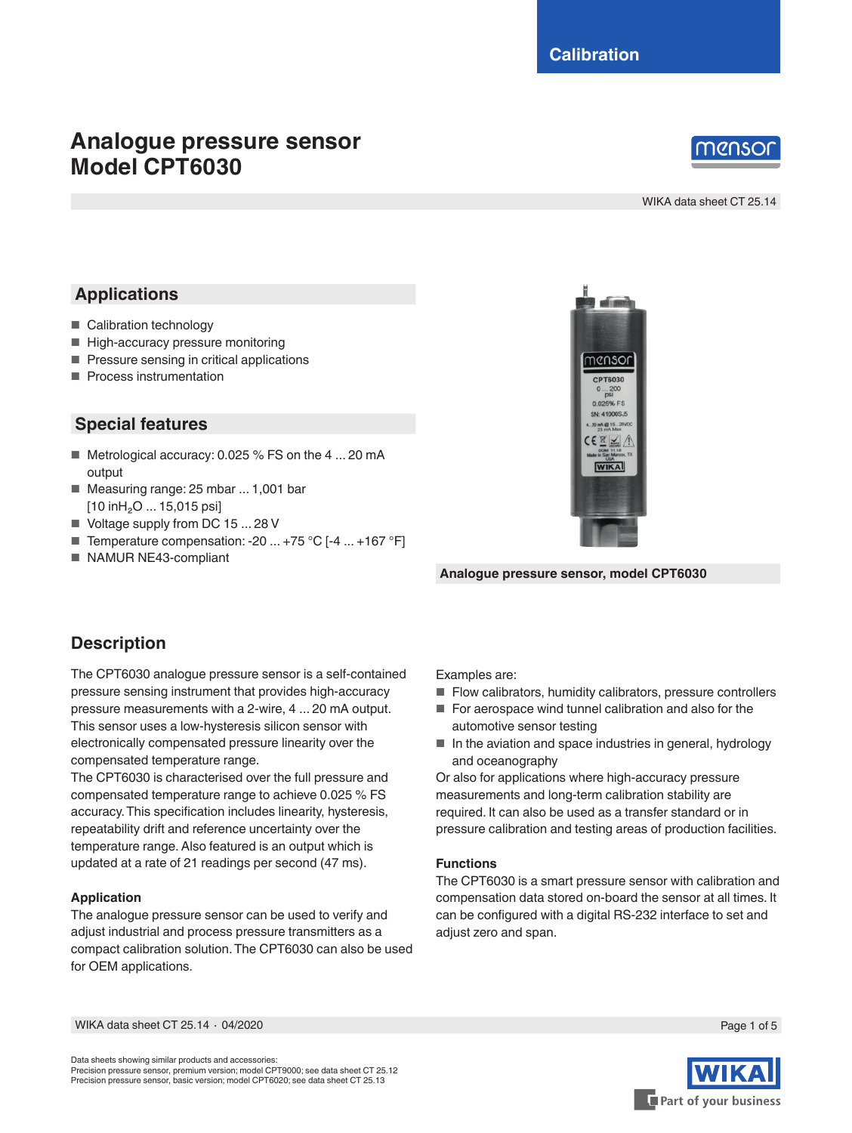# **Analogue pressure sensor Model CPT6030**

# nenso

WIKA data sheet CT 25.14

## **Applications**

- Calibration technology
- High-accuracy pressure monitoring
- Pressure sensing in critical applications
- Process instrumentation

### **Special features**

- Metrological accuracy: 0.025 % FS on the 4 ... 20 mA output
- Measuring range: 25 mbar ... 1,001 bar [10 inH<sub>2</sub>O ... 15,015 psi]
- Voltage supply from DC 15 ... 28 V
- Temperature compensation: -20 ... +75 °C [-4 ... +167 °F]
- NAMUR NE43-compliant



**Analogue pressure sensor, model CPT6030**

### **Description**

The CPT6030 analogue pressure sensor is a self-contained pressure sensing instrument that provides high-accuracy pressure measurements with a 2-wire, 4 ... 20 mA output. This sensor uses a low-hysteresis silicon sensor with electronically compensated pressure linearity over the compensated temperature range.

The CPT6030 is characterised over the full pressure and compensated temperature range to achieve 0.025 % FS accuracy. This specification includes linearity, hysteresis, repeatability drift and reference uncertainty over the temperature range. Also featured is an output which is updated at a rate of 21 readings per second (47 ms).

#### **Application**

The analogue pressure sensor can be used to verify and adjust industrial and process pressure transmitters as a compact calibration solution. The CPT6030 can also be used for OEM applications.

Examples are:

- Flow calibrators, humidity calibrators, pressure controllers
- For aerospace wind tunnel calibration and also for the automotive sensor testing
- In the aviation and space industries in general, hydrology and oceanography

Or also for applications where high-accuracy pressure measurements and long-term calibration stability are required. It can also be used as a transfer standard or in pressure calibration and testing areas of production facilities.

#### **Functions**

The CPT6030 is a smart pressure sensor with calibration and compensation data stored on-board the sensor at all times. It can be configured with a digital RS-232 interface to set and adjust zero and span.

Part of your business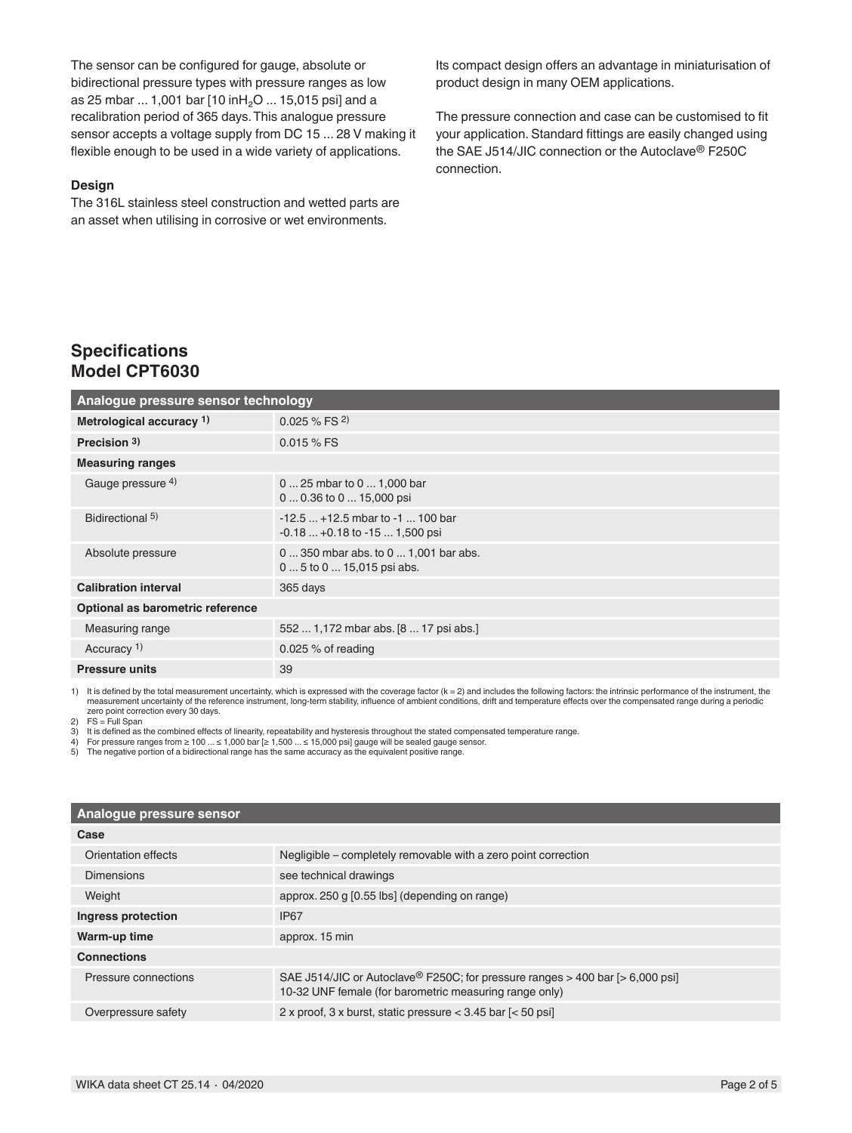The sensor can be configured for gauge, absolute or bidirectional pressure types with pressure ranges as low as 25 mbar ... 1,001 bar [10 inH₂O ... 15,015 psi] and a recalibration period of 365 days. This analogue pressure sensor accepts a voltage supply from DC 15 ... 28 V making it flexible enough to be used in a wide variety of applications.

#### **Design**

The 316L stainless steel construction and wetted parts are an asset when utilising in corrosive or wet environments.

Its compact design offers an advantage in miniaturisation of product design in many OEM applications.

The pressure connection and case can be customised to fit your application. Standard fittings are easily changed using the SAE J514/JIC connection or the Autoclave® F250C connection.

### **Specifications Model CPT6030**

| Analogue pressure sensor technology |                                                                        |  |
|-------------------------------------|------------------------------------------------------------------------|--|
| Metrological accuracy 1)            | $0.025 \%$ FS $^{2)}$                                                  |  |
| Precision $3$ )                     | $0.015%$ FS                                                            |  |
| <b>Measuring ranges</b>             |                                                                        |  |
| Gauge pressure 4)                   | 0  25 mbar to 0  1,000 bar<br>$00.36$ to $015,000$ psi                 |  |
| Bidirectional 5)                    | $-12.5$ $+12.5$ mbar to $-1$ 100 bar<br>$-0.18+0.18$ to $-151.500$ psi |  |
| Absolute pressure                   | 0  350 mbar abs. to 0  1,001 bar abs.<br>0  5 to 0  15,015 psi abs.    |  |
| <b>Calibration interval</b>         | 365 days                                                               |  |
| Optional as barometric reference    |                                                                        |  |
| Measuring range                     | 552  1,172 mbar abs. [8  17 psi abs.]                                  |  |
| Accuracy <sup>1)</sup>              | 0.025 $%$ of reading                                                   |  |
| <b>Pressure units</b>               | 39                                                                     |  |

1) It is defined by the total measurement uncertainty, which is expressed with the coverage factor (k = 2) and includes the following factors: the intrinsic performance of the instrument, the measurement uncertainty of the reference instrument, long-term stability, influence of ambient conditions, drift and temperature effects over the compensated range during a periodic zero point correction every 30 days.

 $2)$  FS = Full Span

3) It is defined as the combined effects of linearity, repeatability and hysteresis throughout the stated compensated temperature range.<br>4) For pressure ranges from ≥ 100 ... ≤ 1,000 bar [≥ 1,500 ... ≤ 15,000 psi] gauge w

| Analogue pressure sensor |                                                                                                                                                     |  |
|--------------------------|-----------------------------------------------------------------------------------------------------------------------------------------------------|--|
| Case                     |                                                                                                                                                     |  |
| Orientation effects      | Negligible – completely removable with a zero point correction                                                                                      |  |
| Dimensions               | see technical drawings                                                                                                                              |  |
| Weight                   | approx. 250 g [0.55 lbs] (depending on range)                                                                                                       |  |
| Ingress protection       | <b>IP67</b>                                                                                                                                         |  |
| Warm-up time             | approx. 15 min                                                                                                                                      |  |
| <b>Connections</b>       |                                                                                                                                                     |  |
| Pressure connections     | SAE J514/JIC or Autoclave <sup>®</sup> F250C; for pressure ranges > 400 bar [> 6,000 psi]<br>10-32 UNF female (for barometric measuring range only) |  |
| Overpressure safety      | 2 x proof, 3 x burst, static pressure $<$ 3.45 bar $\left[$ < 50 psi]                                                                               |  |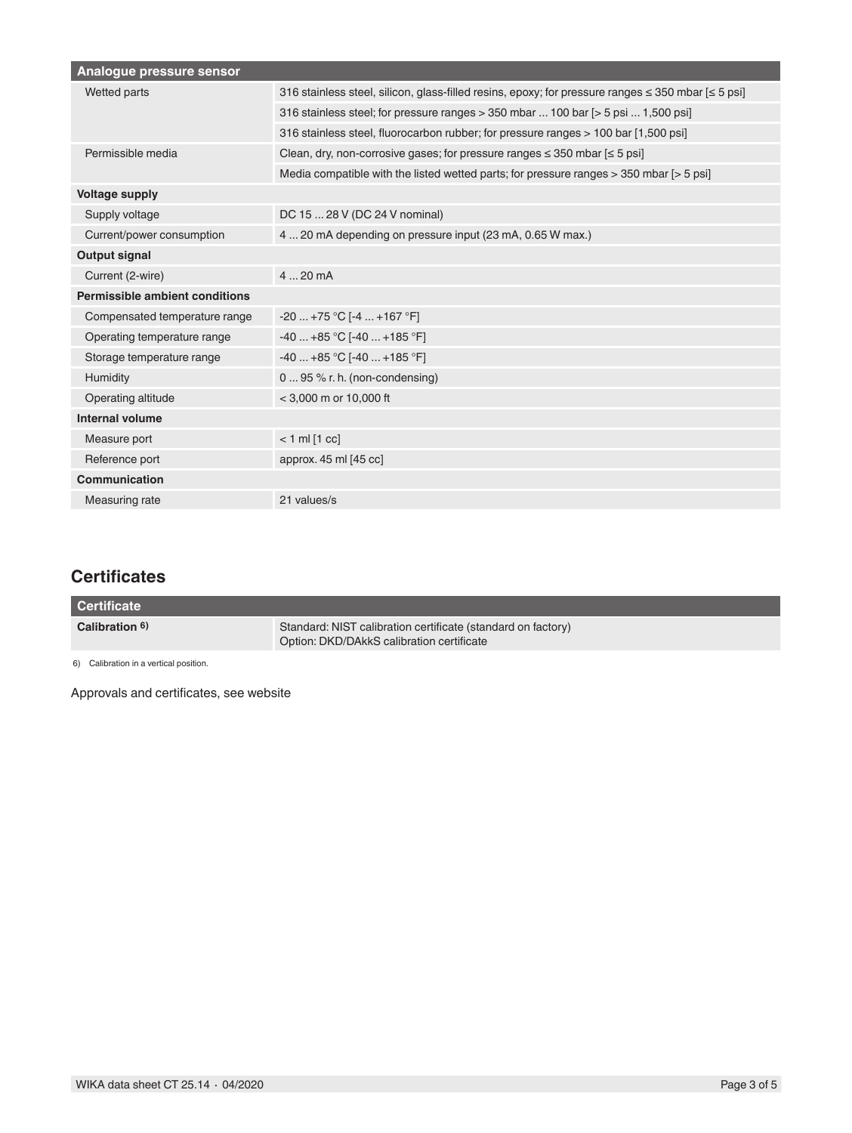| Analogue pressure sensor              |                                                                                                             |  |
|---------------------------------------|-------------------------------------------------------------------------------------------------------------|--|
| Wetted parts                          | 316 stainless steel, silicon, glass-filled resins, epoxy; for pressure ranges $\leq$ 350 mbar $\leq$ 5 psi] |  |
|                                       | 316 stainless steel; for pressure ranges > 350 mbar  100 bar [> 5 psi  1,500 psi]                           |  |
|                                       | 316 stainless steel, fluorocarbon rubber; for pressure ranges > 100 bar [1,500 psi]                         |  |
| Permissible media                     | Clean, dry, non-corrosive gases; for pressure ranges $\leq$ 350 mbar $\leq$ 5 psi]                          |  |
|                                       | Media compatible with the listed wetted parts; for pressure ranges > 350 mbar [> 5 psi]                     |  |
| <b>Voltage supply</b>                 |                                                                                                             |  |
| Supply voltage                        | DC 15  28 V (DC 24 V nominal)                                                                               |  |
| Current/power consumption             | 4  20 mA depending on pressure input (23 mA, 0.65 W max.)                                                   |  |
| <b>Output signal</b>                  |                                                                                                             |  |
| Current (2-wire)                      | 420mA                                                                                                       |  |
| <b>Permissible ambient conditions</b> |                                                                                                             |  |
| Compensated temperature range         | $-20+75 °C$ [-4  +167 °F]                                                                                   |  |
| Operating temperature range           | $-40+85$ °C [ $-40+185$ °F]                                                                                 |  |
| Storage temperature range             | $-40+85 °C$ [-40  +185 °F]                                                                                  |  |
| Humidity                              | $095$ % r. h. (non-condensing)                                                                              |  |
| Operating altitude                    | $<$ 3,000 m or 10,000 ft                                                                                    |  |
| Internal volume                       |                                                                                                             |  |
| Measure port                          | $< 1$ ml $[1$ cc]                                                                                           |  |
| Reference port                        | approx. 45 ml [45 cc]                                                                                       |  |
| Communication                         |                                                                                                             |  |
| Measuring rate                        | 21 values/s                                                                                                 |  |

### **Certificates**

| <b>Certificate</b> |                                                                                                           |
|--------------------|-----------------------------------------------------------------------------------------------------------|
| Calibration 6)     | Standard: NIST calibration certificate (standard on factory)<br>Option: DKD/DAkkS calibration certificate |

6) Calibration in a vertical position.

Approvals and certificates, see website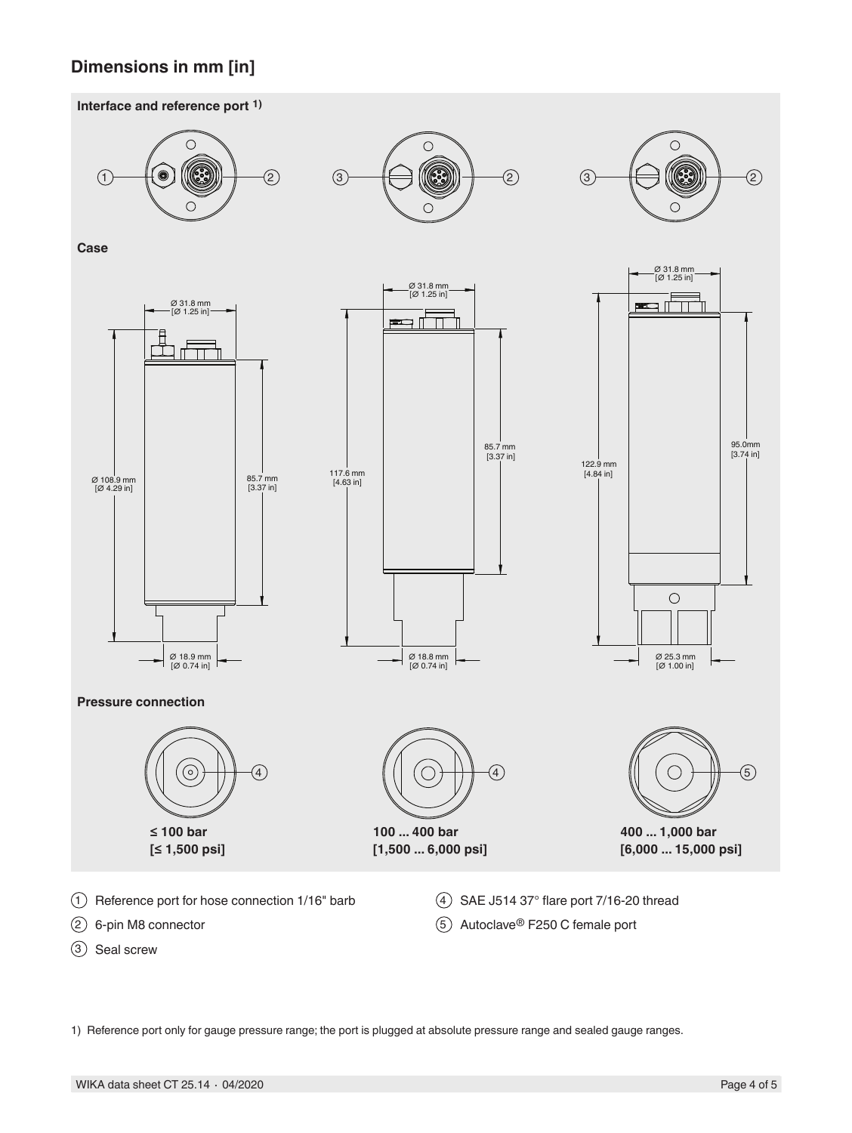### **Dimensions in mm [in]**





1) Reference port only for gauge pressure range; the port is plugged at absolute pressure range and sealed gauge ranges.